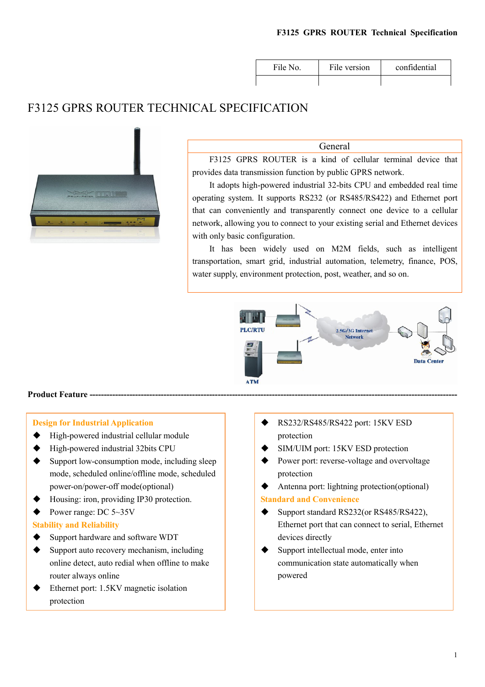| File No. | File version | confidential |
|----------|--------------|--------------|
|          |              |              |

# F3125 GPRS ROUTER TECHNICAL SPECIFICATION



General

F3125 GPRS ROUTER is a kind of cellular terminal device that provides data transmission function by public GPRS network.

It adopts high-powered industrial 32-bits CPU and embedded real time operating system. It supports RS232 (or RS485/RS422) and Ethernet port that can conveniently and transparently connect one device to a cellular network, allowing you to connect to your existing serial and Ethernet devices with only basic configuration.

It has been widely used on M2M fields, such as intelligent transportation, smart grid, industrial automation, telemetry, finance, POS, water supply, environment protection, post, weather, and so on.



#### Product Feature ---

#### Design for Industrial Application

- ◆ High-powered industrial cellular module
- ◆ High-powered industrial 32bits CPU
- $\blacklozenge$  Support low-consumption mode, including sleep mode, scheduled online/offline mode, scheduled power-on/power-off mode(optional)
- ◆ Housing: iron, providing IP30 protection.
- Power range: DC 5~35V

#### Stability and Reliability

- ◆ Support hardware and software WDT
- $\blacklozenge$  Support auto recovery mechanism, including online detect, auto redial when offline to make router always online
- Ethernet port: 1.5KV magnetic isolation protection
- RS232/RS485/RS422 port: 15KV ESD protection
- SIM/UIM port: 15KV ESD protection
- Power port: reverse-voltage and overvoltage protection
- Antenna port: lightning protection(optional)

### Standard and Convenience

- Support standard RS232(or RS485/RS422), Ethernet port that can connect to serial, Ethernet devices directly
- Support intellectual mode, enter into communication state automatically when powered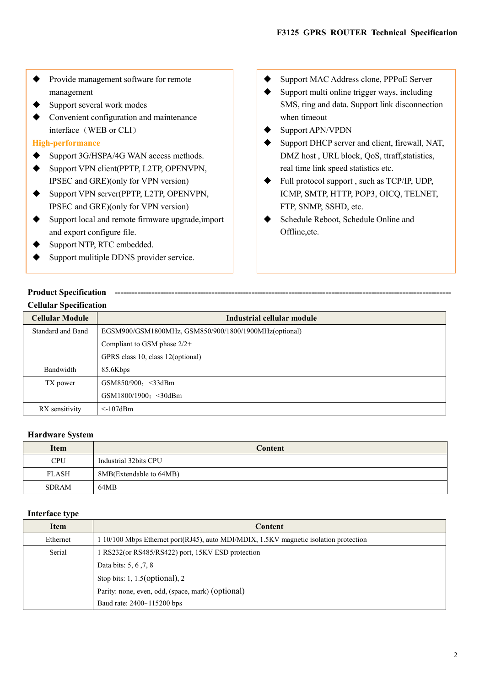- ◆ Provide management software for remote management
- $\blacklozenge$  Support several work modes
- Convenient configuration and maintenance interface (WEB or CLI)

#### High-performance

- ◆ Support 3G/HSPA/4G WAN access methods.
- ◆ Support VPN client(PPTP, L2TP, OPENVPN, IPSEC and GRE)(only for VPN version)
- ◆ Support VPN server(PPTP, L2TP, OPENVPN, IPSEC and GRE)(only for VPN version)
- ◆ Support local and remote firmware upgrade, import and export configure file.
- ◆ Support NTP, RTC embedded.
- ◆ Support mulitiple DDNS provider service.
- ◆ Support MAC Address clone, PPPoE Server
- $\blacklozenge$  Support multi online trigger ways, including SMS, ring and data. Support link disconnection when timeout
- Support APN/VPDN
- Support DHCP server and client, firewall, NAT, DMZ host , URL block, QoS, ttraff,statistics, real time link speed statistics etc.
- ◆ Full protocol support , such as TCP/IP, UDP, ICMP, SMTP, HTTP, POP3, OICQ, TELNET, FTP, SNMP, SSHD, etc.
- Schedule Reboot, Schedule Online and Offline,etc.

### Product Specification --Cellular Specification

| <b>Cellular Module</b> | Industrial cellular module                            |
|------------------------|-------------------------------------------------------|
| Standard and Band      | EGSM900/GSM1800MHz, GSM850/900/1800/1900MHz(optional) |
|                        | Compliant to GSM phase $2/2+$                         |
|                        | GPRS class 10, class 12(optional)                     |
| Bandwidth              | 85.6Kbps                                              |
| TX power               | GSM850/900: $\leq$ 33dBm                              |
|                        | GSM1800/1900: < 30dBm                                 |
| RX sensitivity         | $\leq$ -107dBm                                        |

#### Hardware System

| <b>Item</b>  | Content                 |
|--------------|-------------------------|
| <b>CPU</b>   | Industrial 32bits CPU   |
| <b>FLASH</b> | 8MB(Extendable to 64MB) |
| <b>SDRAM</b> | 64MB                    |

#### Interface type

| Item     | <b>Content</b>                                                                        |
|----------|---------------------------------------------------------------------------------------|
| Ethernet | 1 10/100 Mbps Ethernet port(RJ45), auto MDI/MDIX, 1.5KV magnetic isolation protection |
| Serial   | RS232(or RS485/RS422) port, 15KV ESD protection                                       |
|          | Data bits: 5, 6, 7, 8                                                                 |
|          | Stop bits: $1, 1.5$ (optional), $2$                                                   |
|          | Parity: none, even, odd, (space, mark) (optional)                                     |
|          | Baud rate: 2400~115200 bps                                                            |